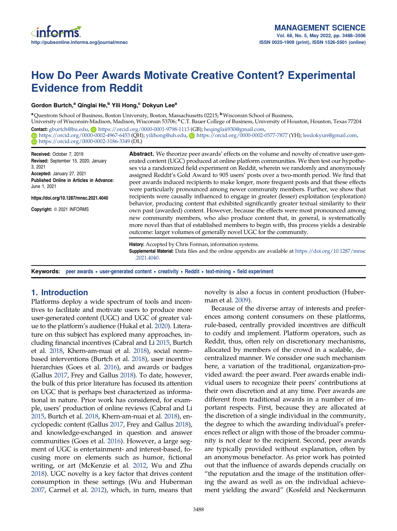# How Do Peer Awards Motivate Creative Content? Experimental Evidence from Reddit

# Gordon Burtch,<sup>a</sup> Qinglai He,<sup>b</sup> Yili Hong,<sup>c</sup> Dokyun Lee<sup>a</sup>

<sup>a</sup>Questrom School of Business, Boston University, Boston, Massachusetts 02215; <sup>b</sup>Wisconsin School of Business,

University of Wisconsin-Madison, Madison, Wisconsin 53706; °C.T. Bauer College of Business, University of Houston, Houston, Texas 77204 Contact: [gburtch@bu.edu,](mailto:gburtch@bu.edu) D<https://orcid.org/0000-0001-9798-1113> (GB); [heqinglaii930@gmail.com,](mailto:heqinglaii930@gmail.com)

 $\bigcirc$  <https://orcid.org/0000-0002-4967-6453> (QH); [yilihong@uh.edu,](mailto:yilihong@uh.edu)  $\bigcirc$  <https://orcid.org/0000-0002-0577-7877> (YH); [leedokyun@gmail.com](mailto:leedokyun@gmail.com), <https://orcid.org/0000-0002-3186-3349> (DL)

Received: October 7, 2019 Revised: September 15, 2020; January 3, 2021 Accepted: January 27, 2021 Published Online in Articles in Advance: June 1, 2021 https://doi.org/10.1287/mnsc.2021.4040

Copyright: © 2021 INFORMS

Abstract. We theorize peer awards' effects on the volume and novelty of creative user-generated content (UGC) produced at online platform communities. We then test our hypotheses via a randomized field experiment on Reddit, wherein we randomly and anonymously assigned Reddit's Gold Award to 905 users' posts over a two-month period. We find that peer awards induced recipients to make longer, more frequent posts and that these effects were particularly pronounced among newer community members. Further, we show that recipients were causally influenced to engage in greater (lesser) exploitation (exploration) behavior, producing content that exhibited significantly greater textual similarity to their own past (awarded) content. However, because the effects were most pronounced among new community members, who also produce content that, in general, is systematically more novel than that of established members to begin with, this process yields a desirable outcome: larger volumes of generally novel UGC for the community.

History: Accepted by Chris Forman, information systems. Supplemental Material: Data files and the online appendix are available at [https://doi.org/10.1287/mnsc](https://doi.org/10.1287/mnsc.2021.4040) [.2021.4040.](https://doi.org/10.1287/mnsc.2021.4040)

Keywords: peer awards • user-generated content • creativity • Reddit • text-mining • field experiment

# 1. Introduction

Platforms deploy a wide spectrum of tools and incentives to facilitate and motivate users to produce more user-generated content (UGC) and UGC of greater value to the platform's audience (Hukal et al. [2020](#page-18-0)). Literature on this subject has explored many approaches, including financial incentives (Cabral and Li [2015,](#page-17-0) Burtch et al. [2018](#page-17-0), Khern-am-nuai et al. [2018](#page-18-0)), social norm– based interventions (Burtch et al. [2018\)](#page-17-0), user incentive hierarchies (Goes et al. [2016](#page-18-0)), and awards or badges (Gallus [2017](#page-18-0), Frey and Gallus [2018\)](#page-17-0). To date, however, the bulk of this prior literature has focused its attention on UGC that is perhaps best characterized as informational in nature. Prior work has considered, for example, users' production of online reviews (Cabral and Li [2015](#page-17-0), Burtch et al. [2018,](#page-17-0) Khern-am-nuai et al. [2018](#page-18-0)), encyclopedic content (Gallus [2017,](#page-18-0) Frey and Gallus [2018\)](#page-17-0), and knowledge-exchanged in question and answer communities (Goes et al. [2016\)](#page-18-0). However, a large segment of UGC is entertainment- and interest-based, focusing more on elements such as humor, fictional writing, or art (McKenzie et al. [2012,](#page-18-0) Wu and Zhu [2018\)](#page-18-0). UGC novelty is a key factor that drives content consumption in these settings (Wu and Huberman [2007,](#page-18-0) Carmel et al. [2012\)](#page-17-0), which, in turn, means that novelty is also a focus in content production (Huberman et al. [2009](#page-18-0)).

Because of the diverse array of interests and preferences among content consumers on these platforms, rule-based, centrally provided incentives are difficult to codify and implement. Platform operators, such as Reddit, thus, often rely on discretionary mechanisms, allocated by members of the crowd in a scalable, decentralized manner. We consider one such mechanism here, a variation of the traditional, organization-provided award: the peer award. Peer awards enable individual users to recognize their peers' contributions at their own discretion and at any time. Peer awards are different from traditional awards in a number of important respects. First, because they are allocated at the discretion of a single individual in the community, the degree to which the awarding individual's preferences reflect or align with those of the broader community is not clear to the recipient. Second, peer awards are typically provided without explanation, often by an anonymous benefactor. As prior work has pointed out that the influence of awards depends crucially on "the reputation and the image of the institution offering the award as well as on the individual achievement yielding the award" (Kosfeld and Neckermann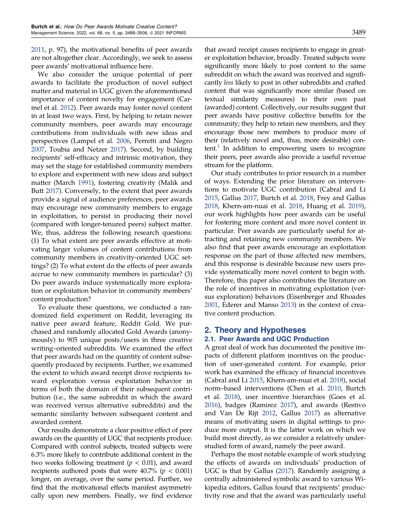[2011,](#page-18-0) p. 97), the motivational benefits of peer awards are not altogether clear. Accordingly, we seek to assess peer awards' motivational influence here.

We also consider the unique potential of peer awards to facilitate the production of novel subject matter and material in UGC given the aforementioned importance of content novelty for engagement (Carmel et al. [2012\)](#page-17-0). Peer awards may foster novel content in at least two ways. First, by helping to retain newer community members, peer awards may encourage contributions from individuals with new ideas and perspectives (Lampel et al. [2006,](#page-18-0) Perretti and Negro [2007,](#page-18-0) Toubia and Netzer [2017](#page-18-0)). Second, by building recipients' self-efficacy and intrinsic motivation, they may set the stage for established community members to explore and experiment with new ideas and subject matter (March [1991\)](#page-18-0), fostering creativity (Malik and Butt [2017](#page-18-0)). Conversely, to the extent that peer awards provide a signal of audience preferences, peer awards may encourage new community members to engage in exploitation, to persist in producing their novel (compared with longer-tenured peers) subject matter. We, thus, address the following research questions: (1) To what extent are peer awards effective at motivating larger volumes of content contributions from community members in creativity-oriented UGC settings? (2) To what extent do the effects of peer awards accrue to new community members in particular? (3) Do peer awards induce systematically more exploration or exploitation behavior in community members' content production?

To evaluate these questions, we conducted a randomized field experiment on Reddit, leveraging its native peer award feature, Reddit Gold. We purchased and randomly allocated Gold Awards (anonymously) to 905 unique posts/users in three creative writing–oriented subreddits. We examined the effect that peer awards had on the quantity of content subsequently produced by recipients. Further, we examined the extent to which award receipt drove recipients toward exploration versus exploitation behavior in terms of both the domain of their subsequent contribution (i.e., the same subreddit in which the award was received versus alternative subreddits) and the semantic similarity between subsequent content and awarded content.

Our results demonstrate a clear positive effect of peer awards on the quantity of UGC that recipients produce. Compared with control subjects, treated subjects were 6.3% more likely to contribute additional content in the two weeks following treatment ( $p < 0.01$ ), and award recipients authored posts that were 40.7% ( $p < 0.001$ ) longer, on average, over the same period. Further, we find that the motivational effects manifest asymmetrically upon new members. Finally, we find evidence that award receipt causes recipients to engage in greater exploitation behavior, broadly. Treated subjects were significantly more likely to post content to the same subreddit on which the award was received and significantly less likely to post in other subreddits and crafted content that was significantly more similar (based on textual similarity measures) to their own past (awarded) content. Collectively, our results suggest that peer awards have positive collective benefits for the community; they help to retain new members, and they encourage those new members to produce more of their (relatively novel and, thus, more desirable) con $tent.$ <sup>1</sup> In addition to empowering users to recognize their peers, peer awards also provide a useful revenue stream for the platform.

Our study contributes to prior research in a number of ways. Extending the prior literature on interventions to motivate UGC contribution (Cabral and Li [2015](#page-17-0), Gallus [2017,](#page-18-0) Burtch et al. [2018,](#page-17-0) Frey and Gallus [2018](#page-17-0), Khern-am-nuai et al. [2018,](#page-18-0) Huang et al. [2019](#page-18-0)), our work highlights how peer awards can be useful for fostering more content and more novel content in particular. Peer awards are particularly useful for attracting and retaining new community members. We also find that peer awards encourage an exploitation response on the part of those affected new members, and this response is desirable because new users provide systematically more novel content to begin with. Therefore, this paper also contributes the literature on the role of incentives in motivating exploitation (versus exploration) behaviors (Eisenberger and Rhoades [2001](#page-17-0), Ederer and Manso [2013\)](#page-17-0) in the context of creative content production.

# 2. Theory and Hypotheses 2.1. Peer Awards and UGC Production

A great deal of work has documented the positive impacts of different platform incentives on the production of user-generated content. For example, prior work has examined the efficacy of financial incentives (Cabral and Li [2015](#page-17-0), Khern-am-nuai et al. [2018\)](#page-18-0), social norm–based interventions (Chen et al. [2010](#page-17-0), Burtch et al. [2018](#page-17-0)), user incentive hierarchies (Goes et al. [2016](#page-18-0)), badges (Ramirez [2017\)](#page-18-0), and awards (Restivo and Van De Rijt [2012](#page-18-0), Gallus [2017](#page-18-0)) as alternative means of motivating users in digital settings to produce more output. It is the latter work on which we build most directly, as we consider a relatively understudied form of award, namely the peer award.

Perhaps the most notable example of work studying the effects of awards on individuals' production of UGC is that by Gallus ([2017](#page-18-0)). Randomly assigning a centrally administered symbolic award to various Wikipedia editors, Gallus found that recipients' productivity rose and that the award was particularly useful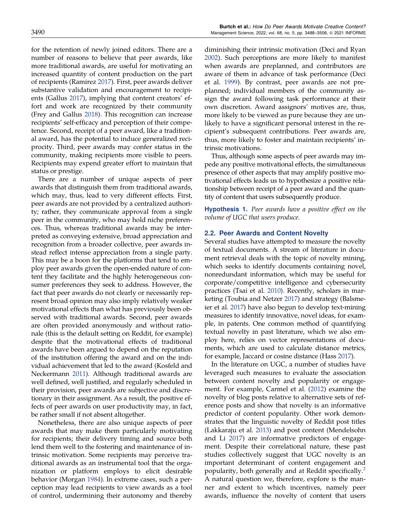<span id="page-2-0"></span>for the retention of newly joined editors. There are a number of reasons to believe that peer awards, like more traditional awards, are useful for motivating an increased quantity of content production on the part of recipients (Ramirez [2017\)](#page-18-0). First, peer awards deliver substantive validation and encouragement to recipients (Gallus [2017](#page-18-0)), implying that content creators' effort and work are recognized by their community (Frey and Gallus [2018](#page-17-0)). This recognition can increase recipients' self-efficacy and perception of their competence. Second, receipt of a peer award, like a traditional award, has the potential to induce generalized reciprocity. Third, peer awards may confer status in the community, making recipients more visible to peers. Recipients may expend greater effort to maintain that status or prestige.

There are a number of unique aspects of peer awards that distinguish them from traditional awards, which may, thus, lead to very different effects. First, peer awards are not provided by a centralized authority; rather, they communicate approval from a single peer in the community, who may hold niche preferences. Thus, whereas traditional awards may be interpreted as conveying extensive, broad appreciation and recognition from a broader collective, peer awards instead reflect intense appreciation from a single party. This may be a boon for the platforms that tend to employ peer awards given the open-ended nature of content they facilitate and the highly heterogeneous consumer preferences they seek to address. However, the fact that peer awards do not clearly or necessarily represent broad opinion may also imply relatively weaker motivational effects than what has previously been observed with traditional awards. Second, peer awards are often provided anonymously and without rationale (this is the default setting on Reddit, for example) despite that the motivational effects of traditional awards have been argued to depend on the reputation of the institution offering the award and on the individual achievement that led to the award (Kosfeld and Neckermann [2011](#page-18-0)). Although traditional awards are well defined, well justified, and regularly scheduled in their provision, peer awards are subjective and discretionary in their assignment. As a result, the positive effects of peer awards on user productivity may, in fact, be rather small if not absent altogether.

Nonetheless, there are also unique aspects of peer awards that may make them particularly motivating for recipients; their delivery timing and source both lend them well to the fostering and maintenance of intrinsic motivation. Some recipients may perceive traditional awards as an instrumental tool that the organization or platform employs to elicit desirable behavior (Morgan [1984](#page-18-0)). In extreme cases, such a perception may lead recipients to view awards as a tool of control, undermining their autonomy and thereby diminishing their intrinsic motivation (Deci and Ryan [2002](#page-17-0)). Such perceptions are more likely to manifest when awards are preplanned, and contributors are aware of them in advance of task performance (Deci et al. [1999](#page-17-0)). By contrast, peer awards are not preplanned; individual members of the community assign the award following task performance at their own discretion. Award assignors' motives are, thus, more likely to be viewed as pure because they are unlikely to have a significant personal interest in the recipient's subsequent contributions. Peer awards are, thus, more likely to foster and maintain recipients' intrinsic motivations.

Thus, although some aspects of peer awards may impede any positive motivational effects, the simultaneous presence of other aspects that may amplify positive motivational effects leads us to hypothesize a positive relationship between receipt of a peer award and the quantity of content that users subsequently produce.

**Hypothesis 1.** Peer awards have a positive effect on the volume of UGC that users produce.

### 2.2. Peer Awards and Content Novelty

Several studies have attempted to measure the novelty of textual documents. A stream of literature in document retrieval deals with the topic of novelty mining, which seeks to identify documents containing novel, nonredundant information, which may be useful for corporate/competitive intelligence and cybersecurity practices (Tsai et al. [2010\)](#page-18-0). Recently, scholars in marketing (Toubia and Netzer [2017\)](#page-18-0) and strategy (Balsmeier et al. [2017](#page-17-0)) have also begun to develop text-mining measures to identify innovative, novel ideas, for example, in patents. One common method of quantifying textual novelty in past literature, which we also employ here, relies on vector representations of documents, which are used to calculate distance metrics, for example, Jaccard or cosine distance (Hass [2017\)](#page-18-0).

In the literature on UGC, a number of studies have leveraged such measures to evaluate the association between content novelty and popularity or engagement. For example, Carmel et al. ([2012](#page-17-0)) examine the novelty of blog posts relative to alternative sets of reference posts and show that novelty is an informative predictor of content popularity. Other work demonstrates that the linguistic novelty of Reddit post titles (Lakkaraju et al. [2013\)](#page-18-0) and post content (Mendelsohn and Li [2017](#page-18-0)) are informative predictors of engagement. Despite their correlational nature, these past studies collectively suggest that UGC novelty is an important determinant of content engagement and popularity, both generally and at Reddit specifically.<sup>2</sup> A natural question we, therefore, explore is the manner and extent to which incentives, namely peer awards, influence the novelty of content that users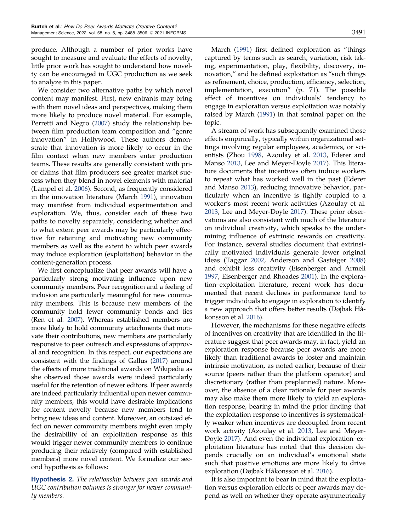<span id="page-3-0"></span>produce. Although a number of prior works have sought to measure and evaluate the effects of novelty, little prior work has sought to understand how novelty can be encouraged in UGC production as we seek to analyze in this paper.

We consider two alternative paths by which novel content may manifest. First, new entrants may bring with them novel ideas and perspectives, making them more likely to produce novel material. For example, Perretti and Negro [\(2007\)](#page-18-0) study the relationship between film production team composition and "genre innovation" in Hollywood. These authors demonstrate that innovation is more likely to occur in the film context when new members enter production teams. These results are generally consistent with prior claims that film producers see greater market success when they blend in novel elements with material (Lampel et al. [2006](#page-18-0)). Second, as frequently considered in the innovation literature (March [1991](#page-18-0)), innovation may manifest from individual experimentation and exploration. We, thus, consider each of these two paths to novelty separately, considering whether and to what extent peer awards may be particularly effective for retaining and motivating new community members as well as the extent to which peer awards may induce exploration (exploitation) behavior in the content-generation process.

We first conceptualize that peer awards will have a particularly strong motivating influence upon new community members. Peer recognition and a feeling of inclusion are particularly meaningful for new community members. This is because new members of the community hold fewer community bonds and ties (Ren et al. [2007\)](#page-18-0). Whereas established members are more likely to hold community attachments that motivate their contributions, new members are particularly responsive to peer outreach and expressions of approval and recognition. In this respect, our expectations are consistent with the findings of Gallus ([2017](#page-18-0)) around the effects of more traditional awards on Wikipedia as she observed those awards were indeed particularly useful for the retention of newer editors. If peer awards are indeed particularly influential upon newer community members, this would have desirable implications for content novelty because new members tend to bring new ideas and content. Moreover, an outsized effect on newer community members might even imply the desirability of an exploitation response as this would trigger newer community members to continue producing their relatively (compared with established members) more novel content. We formalize our second hypothesis as follows:

**Hypothesis 2.** The relationship between peer awards and UGC contribution volumes is stronger for newer community members.

March [\(1991\)](#page-18-0) first defined exploration as "things captured by terms such as search, variation, risk taking, experimentation, play, flexibility, discovery, innovation," and he defined exploitation as "such things as refinement, choice, production, efficiency, selection, implementation, execution" (p. 71). The possible effect of incentives on individuals' tendency to engage in exploration versus exploitation was notably raised by March [\(1991](#page-18-0)) in that seminal paper on the topic.

A stream of work has subsequently examined those effects empirically, typically within organizational settings involving regular employees, academics, or scientists (Zhou [1998](#page-18-0), Azoulay et al. [2013](#page-17-0), Ederer and Manso [2013,](#page-17-0) Lee and Meyer-Doyle [2017](#page-18-0)). This literature documents that incentives often induce workers to repeat what has worked well in the past (Ederer and Manso [2013\)](#page-17-0), reducing innovative behavior, particularly when an incentive is tightly coupled to a worker's most recent work activities (Azoulay et al. [2013](#page-17-0), Lee and Meyer-Doyle [2017\)](#page-18-0). These prior observations are also consistent with much of the literature on individual creativity, which speaks to the undermining influence of extrinsic rewards on creativity. For instance, several studies document that extrinsically motivated individuals generate fewer original ideas (Taggar [2002](#page-18-0), Anderson and Gasteiger [2008\)](#page-17-0) and exhibit less creativity (Eisenberger and Armeli [1997](#page-17-0), Eisenberger and Rhoades [2001\)](#page-17-0). In the exploration–exploitation literature, recent work has documented that recent declines in performance tend to trigger individuals to engage in exploration to identify a new approach that offers better results (Døjbak Håkonsson et al. [2016\)](#page-17-0).

However, the mechanisms for these negative effects of incentives on creativity that are identified in the literature suggest that peer awards may, in fact, yield an exploration response because peer awards are more likely than traditional awards to foster and maintain intrinsic motivation, as noted earlier, because of their source (peers rather than the platform operator) and discretionary (rather than preplanned) nature. Moreover, the absence of a clear rationale for peer awards may also make them more likely to yield an exploration response, bearing in mind the prior finding that the exploitation response to incentives is systematically weaker when incentives are decoupled from recent work activity (Azoulay et al. [2013,](#page-17-0) Lee and Meyer-Doyle [2017](#page-18-0)). And even the individual exploration–exploitation literature has noted that this decision depends crucially on an individual's emotional state such that positive emotions are more likely to drive exploration (Døjbak Håkonsson et al. [2016\)](#page-17-0).

It is also important to bear in mind that the exploitation versus exploration effects of peer awards may depend as well on whether they operate asymmetrically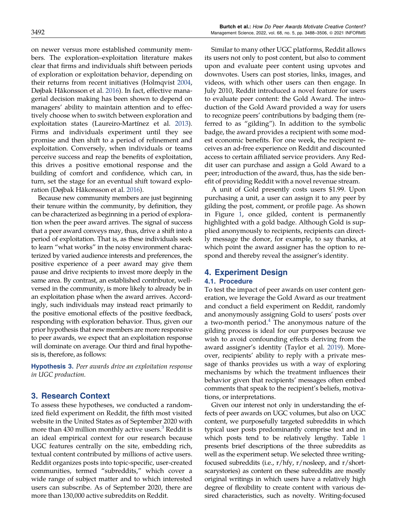<span id="page-4-0"></span>on newer versus more established community members. The exploration–exploitation literature makes clear that firms and individuals shift between periods of exploration or exploitation behavior, depending on their returns from recent initiatives (Holmqvist [2004](#page-18-0), Døjbak Håkonsson et al. [2016](#page-17-0)). In fact, effective managerial decision making has been shown to depend on managers' ability to maintain attention and to effectively choose when to switch between exploration and exploitation states (Laureiro-Martínez et al. [2013\)](#page-18-0). Firms and individuals experiment until they see promise and then shift to a period of refinement and exploitation. Conversely, when individuals or teams perceive success and reap the benefits of exploitation, this drives a positive emotional response and the building of comfort and confidence, which can, in turn, set the stage for an eventual shift toward exploration (Døjbak Håkonsson et al. [2016](#page-17-0)).

Because new community members are just beginning their tenure within the community, by definition, they can be characterized as beginning in a period of exploration when the peer award arrives. The signal of success that a peer award conveys may, thus, drive a shift into a period of exploitation. That is, as these individuals seek to learn "what works" in the noisy environment characterized by varied audience interests and preferences, the positive experience of a peer award may give them pause and drive recipients to invest more deeply in the same area. By contrast, an established contributor, wellversed in the community, is more likely to already be in an exploitation phase when the award arrives. Accordingly, such individuals may instead react primarily to the positive emotional effects of the positive feedback, responding with exploration behavior. Thus, given our prior hypothesis that new members are more responsive to peer awards, we expect that an exploitation response will dominate on average. Our third and final hypothesis is, therefore, as follows:

**Hypothesis 3.** Peer awards drive an exploitation response in UGC production.

# 3. Research Context

To assess these hypotheses, we conducted a randomized field experiment on Reddit, the fifth most visited website in the United States as of September 2020 with more than  $430$  million monthly active users.<sup>3</sup> Reddit is an ideal empirical context for our research because UGC features centrally on the site, embedding rich, textual content contributed by millions of active users. Reddit organizes posts into topic-specific, user-created communities, termed "subreddits," which cover a wide range of subject matter and to which interested users can subscribe. As of September 2020, there are more than 130,000 active subreddits on Reddit.

Similar to many other UGC platforms, Reddit allows its users not only to post content, but also to comment upon and evaluate peer content using upvotes and downvotes. Users can post stories, links, images, and videos, with which other users can then engage. In July 2010, Reddit introduced a novel feature for users to evaluate peer content: the Gold Award. The introduction of the Gold Award provided a way for users to recognize peers' contributions by badging them (referred to as "gilding"). In addition to the symbolic badge, the award provides a recipient with some modest economic benefits. For one week, the recipient receives an ad-free experience on Reddit and discounted access to certain affiliated service providers. Any Reddit user can purchase and assign a Gold Award to a peer; introduction of the award, thus, has the side benefit of providing Reddit with a novel revenue stream.

A unit of Gold presently costs users \$1.99. Upon purchasing a unit, a user can assign it to any peer by gilding the post, comment, or profile page. As shown in Figure [1,](#page-5-0) once gilded, content is permanently highlighted with a gold badge. Although Gold is supplied anonymously to recipients, recipients can directly message the donor, for example, to say thanks, at which point the award assigner has the option to respond and thereby reveal the assigner's identity.

# 4. Experiment Design

# 4.1. Procedure

To test the impact of peer awards on user content generation, we leverage the Gold Award as our treatment and conduct a field experiment on Reddit, randomly and anonymously assigning Gold to users' posts over a two-month period. $4$  The anonymous nature of the gilding process is ideal for our purposes because we wish to avoid confounding effects deriving from the award assigner's identity (Taylor et al. [2019](#page-18-0)). Moreover, recipients' ability to reply with a private message of thanks provides us with a way of exploring mechanisms by which the treatment influences their behavior given that recipients' messages often embed comments that speak to the recipient's beliefs, motivations, or interpretations.

Given our interest not only in understanding the effects of peer awards on UGC volumes, but also on UGC content, we purposefully targeted subreddits in which typical user posts predominantly comprise text and in which posts tend to be relatively lengthy. Table [1](#page-5-0) presents brief descriptions of the three subreddits as well as the experiment setup. We selected three writingfocused subreddits (i.e., r/hfy, r/nosleep, and r/shortscarystories) as content on these subreddits are mostly original writings in which users have a relatively high degree of flexibility to create content with various desired characteristics, such as novelty. Writing-focused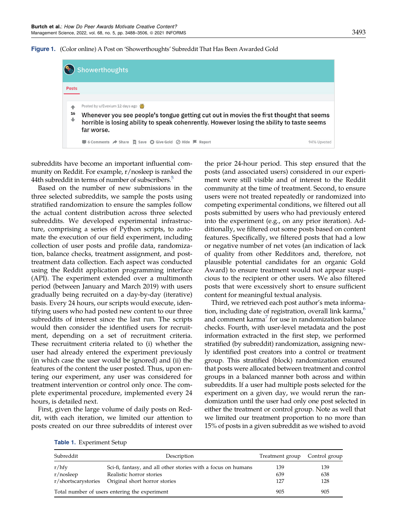

<span id="page-5-0"></span>

|              | <b>Showerthoughts</b>                                                                                                                                                                                                                  |  |
|--------------|----------------------------------------------------------------------------------------------------------------------------------------------------------------------------------------------------------------------------------------|--|
| <b>Posts</b> |                                                                                                                                                                                                                                        |  |
| 16<br>٠      | Posted by u/Evexium 12 days ago<br>Whenever you see people's tongue getting cut out in movies the first thought that seems<br>horrible is losing ability to speak cohenrently. However losing the ability to taste seems<br>far worse. |  |
|              | $\Box$ 6 Comments $\land$ Share $\Box$ Save $\bigcirc$ Give Gold $\oslash$ Hide $\blacksquare$ Report<br>94% Upvoted                                                                                                                   |  |

subreddits have become an important influential community on Reddit. For example, r/nosleep is ranked the 44th subreddit in terms of number of subscribers.<sup>5</sup>

Based on the number of new submissions in the three selected subreddits, we sample the posts using stratified randomization to ensure the samples follow the actual content distribution across three selected subreddits. We developed experimental infrastructure, comprising a series of Python scripts, to automate the execution of our field experiment, including collection of user posts and profile data, randomization, balance checks, treatment assignment, and posttreatment data collection. Each aspect was conducted using the Reddit application programming interface (API). The experiment extended over a multimonth period (between January and March 2019) with users gradually being recruited on a day-by-day (iterative) basis. Every 24 hours, our scripts would execute, identifying users who had posted new content to our three subreddits of interest since the last run. The scripts would then consider the identified users for recruitment, depending on a set of recruitment criteria. These recruitment criteria related to (i) whether the user had already entered the experiment previously (in which case the user would be ignored) and (ii) the features of the content the user posted. Thus, upon entering our experiment, any user was considered for treatment intervention or control only once. The complete experimental procedure, implemented every 24 hours, is detailed next.

First, given the large volume of daily posts on Reddit, with each iteration, we limited our attention to posts created on our three subreddits of interest over the prior 24-hour period. This step ensured that the posts (and associated users) considered in our experiment were still visible and of interest to the Reddit community at the time of treatment. Second, to ensure users were not treated repeatedly or randomized into competing experimental conditions, we filtered out all posts submitted by users who had previously entered into the experiment (e.g., on any prior iteration). Additionally, we filtered out some posts based on content features. Specifically, we filtered posts that had a low or negative number of net votes (an indication of lack of quality from other Redditors and, therefore, not plausible potential candidates for an organic Gold Award) to ensure treatment would not appear suspicious to the recipient or other users. We also filtered posts that were excessively short to ensure sufficient content for meaningful textual analysis.

Third, we retrieved each post author's meta information, including date of registration, overall link karma,<sup>6</sup> and comment karma<sup>7</sup> for use in randomization balance checks. Fourth, with user-level metadata and the post information extracted in the first step, we performed stratified (by subreddit) randomization, assigning newly identified post creators into a control or treatment group. This stratified (block) randomization ensured that posts were allocated between treatment and control groups in a balanced manner both across and within subreddits. If a user had multiple posts selected for the experiment on a given day, we would rerun the randomization until the user had only one post selected in either the treatment or control group. Note as well that we limited our treatment proportion to no more than 15% of posts in a given subreddit as we wished to avoid

|  | Table 1. Experiment Setup |  |
|--|---------------------------|--|
|--|---------------------------|--|

| Subreddit                                 | Description                                                                                                                | Treatment group   | Control group     |
|-------------------------------------------|----------------------------------------------------------------------------------------------------------------------------|-------------------|-------------------|
| r/hfy<br>r/nosleep<br>r/shortscarystories | Sci-fi, fantasy, and all other stories with a focus on humans<br>Realistic horror stories<br>Original short horror stories | 139<br>639<br>127 | 139<br>638<br>128 |
|                                           | Total number of users entering the experiment                                                                              | 905               | 905               |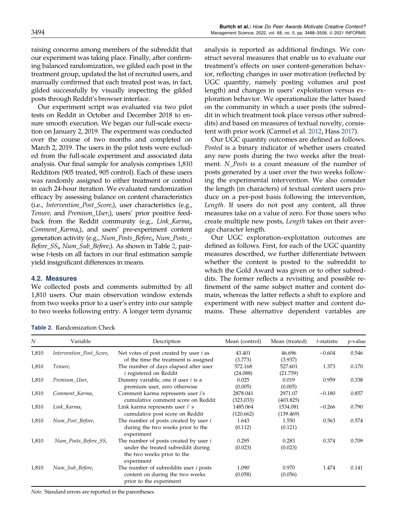<span id="page-6-0"></span>raising concerns among members of the subreddit that our experiment was taking place. Finally, after confirming balanced randomization, we gilded each post in the treatment group, updated the list of recruited users, and manually confirmed that each treated post was, in fact, gilded successfully by visually inspecting the gilded posts through Reddit's browser interface.

Our experiment script was evaluated via two pilot tests on Reddit in October and December 2018 to ensure smooth execution. We began our full-scale execution on January 2, 2019. The experiment was conducted over the course of two months and completed on March 2, 2019. The users in the pilot tests were excluded from the full-scale experiment and associated data analysis. Our final sample for analysis comprises 1,810 Redditors (905 treated, 905 control). Each of these users was randomly assigned to either treatment or control in each 24-hour iteration. We evaluated randomization efficacy by assessing balance on content characteristics  $(i.e.,\text{ *Intervention_Post_Score}_i),*$  user characteristics (e.g.,  $Tenure_i$  and  $Premium_LUser_i$ ), users' prior positive feedback from the Reddit community (e.g., Link\_Karma<sub>i</sub>, Comment\_Karma<sub>i</sub>), and users' pre-experiment content generation activity (e.g., Num\_Posts\_Before<sub>i</sub>, Num\_Posts\_-Before\_SS<sub>i</sub>, Num\_Sub\_Before<sub>i</sub>). As shown in Table 2, pairwise t-tests on all factors in our final estimation sample yield insignificant differences in means.

# 4.2. Measures

We collected posts and comments submitted by all 1,810 users. Our main observation window extends from two weeks prior to a user's entry into our sample to two weeks following entry. A longer term dynamic

Table 2. Randomization Check

analysis is reported as additional findings. We construct several measures that enable us to evaluate our treatment's effects on user content-generation behavior, reflecting changes in user motivation (reflected by UGC quantity, namely posting volumes and post length) and changes in users' exploitation versus exploration behavior. We operationalize the latter based on the community in which a user posts (the subreddit in which treatment took place versus other subreddits) and based on measures of textual novelty, consistent with prior work (Carmel et al. [2012](#page-17-0), Hass [2017\)](#page-18-0).

Our UGC quantity outcomes are defined as follows. Posted is a binary indicator of whether users created any new posts during the two weeks after the treatment. N\_Posts is a count measure of the number of posts generated by a user over the two weeks following the experimental intervention. We also consider the length (in characters) of textual content users produce on a per-post basis following the intervention, Length. If users do not post any content, all three measures take on a value of zero. For those users who create multiple new posts, Length takes on their average character length.

Our UGC exploration–exploitation outcomes are defined as follows. First, for each of the UGC quantity measures described, we further differentiate between whether the content is posted to the subreddit to which the Gold Award was given or to other subreddits. The former reflects a revisiting and possible refinement of the same subject matter and content domain, whereas the latter reflects a shift to explore and experiment with new subject matter and content domains. These alternative dependent variables are

| N     | Variable                   | Description                                                                                                                    | Mean (control)        | Mean (treated)        | t-statistic | $p$ -value |
|-------|----------------------------|--------------------------------------------------------------------------------------------------------------------------------|-----------------------|-----------------------|-------------|------------|
| 1,810 | Intervention_Post_Score,   | Net votes of post created by user $i$ as<br>of the time the treatment is assigned                                              | 43.401<br>(3.773)     | 46.696<br>(3.937)     | $-0.604$    | 0.546      |
| 1,810 | Tenure,                    | The number of days elapsed after user<br><i>i</i> registered on Reddit                                                         | 572.168<br>(24.088)   | 527.601<br>(21.759)   | 1.373       | 0.170      |
| 1,810 | Premium_User,              | Dummy variable, one if user <i>i</i> is a<br>premium user, zero otherwise                                                      | 0.025<br>(0.005)      | 0.019<br>(0.005)      | 0.959       | 0.338      |
| 1,810 | Comment_Karma <sub>i</sub> | Comment karma represents user i's<br>cumulative comment score on Reddit                                                        | 2878.041<br>(323.033) | 2971.07<br>(403.825)  | $-0.180$    | 0.857      |
| 1,810 | Link_Karma <sub>i</sub>    | Link karma represents user i's<br>cumulative post score on Reddit                                                              | 1485.064<br>(120.662) | 1534.081<br>(139.469) | $-0.266$    | 0.790      |
| 1,810 | $Num\_Post\_Before_i$      | The number of posts created by user <i>i</i><br>during the two weeks prior to the<br>experiment                                | 1.643<br>(0.112)      | 1.550<br>(0.121)      | 0.563       | 0.574      |
| 1,810 | $Num\_Posts\_Before\_SS_i$ | The number of posts created by user <i>i</i><br>under the treated subreddit during<br>the two weeks prior to the<br>experiment | 0.295<br>(0.023)      | 0.283<br>(0.023)      | 0.374       | 0.709      |
| 1,810 | $Num\_Sub\_Before_i$       | The number of subreddits user $i$ posts<br>content on during the two weeks<br>prior to the experiment                          | 1.090<br>(0.058)      | 0.970<br>(0.056)      | 1.474       | 0.141      |

Note. Standard errors are reported in the parentheses.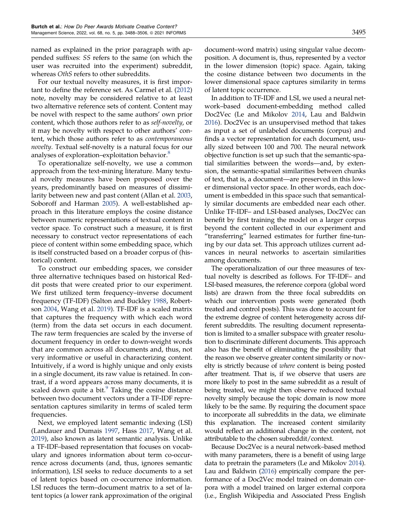named as explained in the prior paragraph with appended suffixes: SS refers to the same (on which the user was recruited into the experiment) subreddit, whereas *OthS* refers to other subreddits.

For our textual novelty measures, it is first important to define the reference set. As Carmel et al. [\(2012](#page-17-0)) note, novelty may be considered relative to at least two alternative reference sets of content. Content may be novel with respect to the same authors' own prior content, which those authors refer to as self-novelty, or it may be novelty with respect to other authors' content, which those authors refer to as contemporaneous novelty. Textual self-novelty is a natural focus for our analyses of exploration–exploitation behavior.<sup>8</sup>

To operationalize self-novelty, we use a common approach from the text-mining literature. Many textual novelty measures have been proposed over the years, predominantly based on measures of dissimilarity between new and past content (Allan et al. [2003,](#page-17-0) Soboroff and Harman [2005\)](#page-18-0). A well-established approach in this literature employs the cosine distance between numeric representations of textual content in vector space. To construct such a measure, it is first necessary to construct vector representations of each piece of content within some embedding space, which is itself constructed based on a broader corpus of (historical) content.

To construct our embedding spaces, we consider three alternative techniques based on historical Reddit posts that were created prior to our experiment. We first utilized term frequency–inverse document frequency (TF-IDF) (Salton and Buckley [1988](#page-18-0), Robertson [2004](#page-18-0), Wang et al. [2019](#page-18-0)). TF-IDF is a scaled matrix that captures the frequency with which each word (term) from the data set occurs in each document. The raw term frequencies are scaled by the inverse of document frequency in order to down-weight words that are common across all documents and, thus, not very informative or useful in characterizing content. Intuitively, if a word is highly unique and only exists in a single document, its raw value is retained. In contrast, if a word appears across many documents, it is scaled down quite a bit. $9$  Taking the cosine distance between two document vectors under a TF-IDF representation captures similarity in terms of scaled term frequencies.

Next, we employed latent semantic indexing (LSI) (Landauer and Dumais [1997,](#page-18-0) Hass [2017](#page-18-0), Wang et al. [2019\)](#page-18-0), also known as latent semantic analysis. Unlike a TF-IDF–based representation that focuses on vocabulary and ignores information about term co-occurrence across documents (and, thus, ignores semantic information), LSI seeks to reduce documents to a set of latent topics based on co-occurrence information. LSI reduces the term–document matrix to a set of latent topics (a lower rank approximation of the original document–word matrix) using singular value decomposition. A document is, thus, represented by a vector in the lower dimension (topic) space. Again, taking the cosine distance between two documents in the lower dimensional space captures similarity in terms of latent topic occurrence.

In addition to TF-IDF and LSI, we used a neural network–based document-embedding method called Doc2Vec (Le and Mikolov [2014,](#page-18-0) Lau and Baldwin [2016](#page-18-0)). Doc2Vec is an unsupervised method that takes as input a set of unlabeled documents (corpus) and finds a vector representation for each document, usually sized between 100 and 700. The neural network objective function is set up such that the semantic-spatial similarities between the words—and, by extension, the semantic-spatial similarities between chunks of text, that is, a document—are preserved in this lower dimensional vector space. In other words, each document is embedded in this space such that semantically similar documents are embedded near each other. Unlike TF-IDF– and LSI-based analyses, Doc2Vec can benefit by first training the model on a larger corpus beyond the content collected in our experiment and "transferring" learned estimates for further fine-tuning by our data set. This approach utilizes current advances in neural networks to ascertain similarities among documents.

The operationalization of our three measures of textual novelty is described as follows. For TF-IDF– and LSI-based measures, the reference corpora (global word lists) are drawn from the three focal subreddits on which our intervention posts were generated (both treated and control posts). This was done to account for the extreme degree of content heterogeneity across different subreddits. The resulting document representation is limited to a smaller subspace with greater resolution to discriminate different documents. This approach also has the benefit of eliminating the possibility that the reason we observe greater content similarity or novelty is strictly because of where content is being posted after treatment. That is, if we observe that users are more likely to post in the same subreddit as a result of being treated, we might then observe reduced textual novelty simply because the topic domain is now more likely to be the same. By requiring the document space to incorporate all subreddits in the data, we eliminate this explanation. The increased content similarity would reflect an additional change in the content, not attributable to the chosen subreddit/context.

Because Doc2Vec is a neural network–based method with many parameters, there is a benefit of using large data to pretrain the parameters (Le and Mikolov [2014](#page-18-0)). Lau and Baldwin [\(2016](#page-18-0)) empirically compare the performance of a Doc2Vec model trained on domain corpora with a model trained on larger external corpora (i.e., English Wikipedia and Associated Press English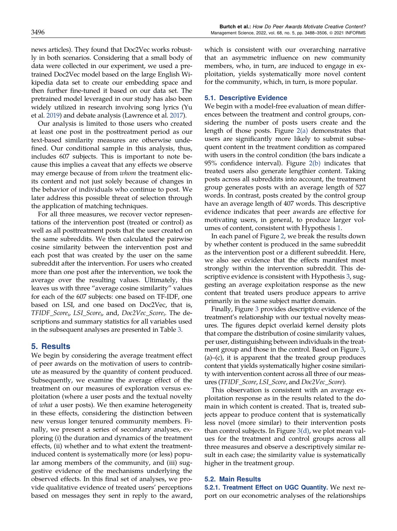<span id="page-8-0"></span>news articles). They found that Doc2Vec works robustly in both scenarios. Considering that a small body of data were collected in our experiment, we used a pretrained Doc2Vec model based on the large English Wikipedia data set to create our embedding space and then further fine-tuned it based on our data set. The pretrained model leveraged in our study has also been widely utilized in research involving song lyrics (Yu et al. [2019\)](#page-18-0) and debate analysis (Lawrence et al. [2017\)](#page-18-0).

Our analysis is limited to those users who created at least one post in the posttreatment period as our text-based similarity measures are otherwise undefined. Our conditional sample in this analysis, thus, includes 607 subjects. This is important to note because this implies a caveat that any effects we observe may emerge because of from whom the treatment elicits content and not just solely because of changes in the behavior of individuals who continue to post. We later address this possible threat of selection through the application of matching techniques.

For all three measures, we recover vector representations of the intervention post (treated or control) as well as all posttreatment posts that the user created on the same subreddits. We then calculated the pairwise cosine similarity between the intervention post and each post that was created by the user on the same subreddit after the intervention. For users who created more than one post after the intervention, we took the average over the resulting values. Ultimately, this leaves us with three "average cosine similarity" values for each of the 607 subjects: one based on TF-IDF, one based on LSI, and one based on Doc2Vec, that is,  $TFIDF\_Score_i$ ,  $LSI\_Score_i$ , and,  $Doc2Vec\_Score_i$ . The descriptions and summary statistics for all variables used in the subsequent analyses are presented in Table [3.](#page-9-0)

# 5. Results

We begin by considering the average treatment effect of peer awards on the motivation of users to contribute as measured by the quantity of content produced. Subsequently, we examine the average effect of the treatment on our measures of exploration versus exploitation (where a user posts and the textual novelty of what a user posts). We then examine heterogeneity in these effects, considering the distinction between new versus longer tenured community members. Finally, we present a series of secondary analyses, exploring (i) the duration and dynamics of the treatment effects, (ii) whether and to what extent the treatmentinduced content is systematically more (or less) popular among members of the community, and (iii) suggestive evidence of the mechanisms underlying the observed effects. In this final set of analyses, we provide qualitative evidence of treated users' perceptions based on messages they sent in reply to the award, which is consistent with our overarching narrative that an asymmetric influence on new community members, who, in turn, are induced to engage in exploitation, yields systematically more novel content for the community, which, in turn, is more popular.

### 5.1. Descriptive Evidence

We begin with a model-free evaluation of mean differences between the treatment and control groups, considering the number of posts users create and the length of those posts. Figure [2\(a\)](#page-10-0) demonstrates that users are significantly more likely to submit subsequent content in the treatment condition as compared with users in the control condition (the bars indicate a 95% confidence interval). Figure [2\(b\)](#page-10-0) indicates that treated users also generate lengthier content. Taking posts across all subreddits into account, the treatment group generates posts with an average length of 527 words. In contrast, posts created by the control group have an average length of 407 words. This descriptive evidence indicates that peer awards are effective for motivating users, in general, to produce larger volumes of content, consistent with Hypothesis [1](#page-2-0).

In each panel of Figure [2,](#page-10-0) we break the results down by whether content is produced in the same subreddit as the intervention post or a different subreddit. Here, we also see evidence that the effects manifest most strongly within the intervention subreddit. This descriptive evidence is consistent with Hypothesis [3](#page-4-0), suggesting an average exploitation response as the new content that treated users produce appears to arrive primarily in the same subject matter domain.

Finally, Figure [3](#page-11-0) provides descriptive evidence of the treatment's relationship with our textual novelty measures. The figures depict overlaid kernel density plots that compare the distribution of cosine similarity values, per user, distinguishing between individuals in the treatment group and those in the control. Based on Figure [3](#page-11-0),  $(a)$ – $(c)$ , it is apparent that the treated group produces content that yields systematically higher cosine similarity with intervention content across all three of our measures (TFIDF\_Score, LSI\_Score, and Doc2Vec\_Score).

This observation is consistent with an average exploitation response as in the results related to the domain in which content is created. That is, treated subjects appear to produce content that is systematically less novel (more similar) to their intervention posts than control subjects. In Figure [3\(d\),](#page-11-0) we plot mean values for the treatment and control groups across all three measures and observe a descriptively similar result in each case; the similarity value is systematically higher in the treatment group.

# 5.2. Main Results

5.2.1. Treatment Effect on UGC Quantity. We next report on our econometric analyses of the relationships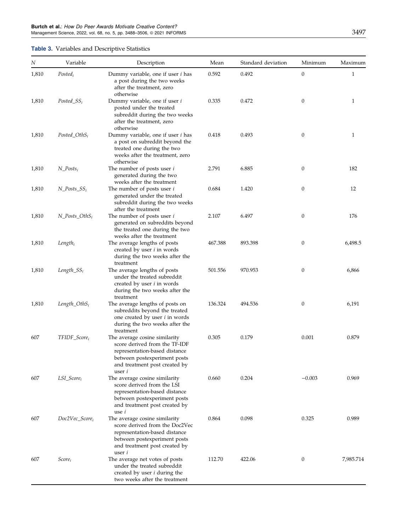# <span id="page-9-0"></span>Table 3. Variables and Descriptive Statistics

| $\cal N$ | Variable                  | Description                                                                                                                                                                        | Mean    | Standard deviation | Minimum          | Maximum      |
|----------|---------------------------|------------------------------------------------------------------------------------------------------------------------------------------------------------------------------------|---------|--------------------|------------------|--------------|
| 1,810    | $Posted_i$                | Dummy variable, one if user <i>i</i> has<br>a post during the two weeks<br>after the treatment, zero<br>otherwise                                                                  | 0.592   | 0.492              | $\boldsymbol{0}$ | $\mathbf{1}$ |
| 1,810    | $Posted\_SS_i$            | Dummy variable, one if user i<br>posted under the treated<br>subreddit during the two weeks<br>after the treatment, zero<br>otherwise                                              | 0.335   | 0.472              | $\boldsymbol{0}$ | $\mathbf{1}$ |
| 1,810    | $Posted\_OthS_i$          | Dummy variable, one if user <i>i</i> has<br>a post on subreddit beyond the<br>treated one during the two<br>weeks after the treatment, zero<br>otherwise                           | 0.418   | 0.493              | $\boldsymbol{0}$ | 1            |
| 1,810    | $N\_Posts_i$              | The number of posts user <i>i</i><br>generated during the two<br>weeks after the treatment                                                                                         | 2.791   | 6.885              | $\boldsymbol{0}$ | 182          |
| 1,810    | $N_P^{osts_S,SS_i}$       | The number of posts user <i>i</i><br>generated under the treated<br>subreddit during the two weeks<br>after the treatment                                                          | 0.684   | 1.420              | $\mathbf{0}$     | 12           |
| 1,810    | $N_P^{osts_OthS_i}$       | The number of posts user i<br>generated on subreddits beyond<br>the treated one during the two<br>weeks after the treatment                                                        | 2.107   | 6.497              | $\boldsymbol{0}$ | 176          |
| 1,810    | $Length_i$                | The average lengths of posts<br>created by user <i>i</i> in words<br>during the two weeks after the<br>treatment                                                                   | 467.388 | 893.398            | $\boldsymbol{0}$ | 6,498.5      |
| 1,810    | $Length\_SS_i$            | The average lengths of posts<br>under the treated subreddit<br>created by user <i>i</i> in words<br>during the two weeks after the<br>treatment                                    | 501.556 | 970.953            | $\mathbf{0}$     | 6,866        |
| 1,810    | $Length\_OthSi$           | The average lengths of posts on<br>subreddits beyond the treated<br>one created by user <i>i</i> in words<br>during the two weeks after the<br>treatment                           | 136.324 | 494.536            | $\boldsymbol{0}$ | 6,191        |
| 607      | TFIDF_Score <sub>i</sub>  | The average cosine similarity<br>score derived from the TF-IDF<br>representation-based distance<br>between postexperiment posts<br>and treatment post created by<br>user i         | 0.305   | 0.179              | 0.001            | 0.879        |
| 607      | $LSI\_Score_i$            | The average cosine similarity<br>score derived from the LSI<br>representation-based distance<br>between postexperiment posts<br>and treatment post created by<br>use <i>i</i>      | 0.660   | 0.204              | $-0.003$         | 0.969        |
| 607      | $Doc2Vec\_Score_i$        | The average cosine similarity<br>score derived from the Doc2Vec<br>representation-based distance<br>between postexperiment posts<br>and treatment post created by<br>user <i>i</i> | 0.864   | 0.098              | 0.325            | 0.989        |
| 607      | <i>Score</i> <sub>i</sub> | The average net votes of posts<br>under the treated subreddit<br>created by user <i>i</i> during the<br>two weeks after the treatment                                              | 112.70  | 422.06             | $\boldsymbol{0}$ | 7,985.714    |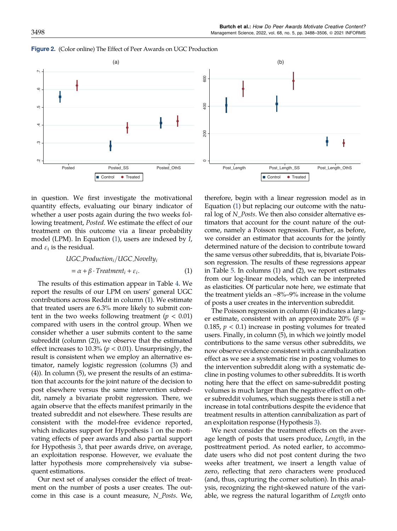



in question. We first investigate the motivational quantity effects, evaluating our binary indicator of whether a user posts again during the two weeks following treatment, Posted. We estimate the effect of our treatment on this outcome via a linear probability model (LPM). In Equation (1), users are indexed by I, and  $\varepsilon_i$  is the residual.

$$
UGC_{\text{Production}_i}/UGC_{\text{Nov}}t_{ij}
$$
\n
$$
= \alpha + \beta \cdot Treatment_i + \varepsilon_i. \tag{1}
$$

The results of this estimation appear in Table [4](#page-12-0). We report the results of our LPM on users' general UGC contributions across Reddit in column (1). We estimate that treated users are 6.3% more likely to submit content in the two weeks following treatment ( $p < 0.01$ ) compared with users in the control group. When we consider whether a user submits content to the same subreddit (column (2)), we observe that the estimated effect increases to 10.3% ( $p < 0.01$ ). Unsurprisingly, the result is consistent when we employ an alternative estimator, namely logistic regression (columns (3) and (4)). In column (5), we present the results of an estimation that accounts for the joint nature of the decision to post elsewhere versus the same intervention subreddit, namely a bivariate probit regression. There, we again observe that the effects manifest primarily in the treated subreddit and not elsewhere. These results are consistent with the model-free evidence reported, which indicates support for Hypothesis [1](#page-2-0) on the motivating effects of peer awards and also partial support for Hypothesis [3,](#page-4-0) that peer awards drive, on average, an exploitation response. However, we evaluate the latter hypothesis more comprehensively via subsequent estimations.

Our next set of analyses consider the effect of treatment on the number of posts a user creates. The outcome in this case is a count measure, N\_Posts. We, therefore, begin with a linear regression model as in Equation (1) but replacing our outcome with the natural log of N\_Posts. We then also consider alternative estimators that account for the count nature of the outcome, namely a Poisson regression. Further, as before, we consider an estimator that accounts for the jointly determined nature of the decision to contribute toward the same versus other subreddits, that is, bivariate Poisson regression. The results of these regressions appear in Table [5.](#page-12-0) In columns (1) and (2), we report estimates from our log-linear models, which can be interpreted as elasticities. Of particular note here, we estimate that the treatment yields an  $\sim8\%$ –9% increase in the volume of posts a user creates in the intervention subreddit.

The Poisson regression in column (4) indicates a larger estimate, consistent with an approximate 20% ( $\beta$  = 0.185,  $p < 0.1$ ) increase in posting volumes for treated users. Finally, in column (5), in which we jointly model contributions to the same versus other subreddits, we now observe evidence consistent with a cannibalization effect as we see a systematic rise in posting volumes to the intervention subreddit along with a systematic decline in posting volumes to other subreddits. It is worth noting here that the effect on same-subreddit posting volumes is much larger than the negative effect on other subreddit volumes, which suggests there is still a net increase in total contributions despite the evidence that treatment results in attention cannibalization as part of an exploitation response (Hypothesis [3\)](#page-4-0).

We next consider the treatment effects on the average length of posts that users produce, Length, in the posttreatment period. As noted earlier, to accommodate users who did not post content during the two weeks after treatment, we insert a length value of zero, reflecting that zero characters were produced (and, thus, capturing the corner solution). In this analysis, recognizing the right-skewed nature of the variable, we regress the natural logarithm of Length onto

#### <span id="page-10-0"></span>Figure 2. (Color online) The Effect of Peer Awards on UGC Production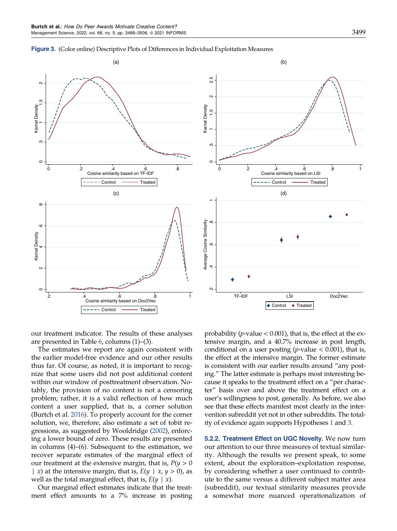<span id="page-11-0"></span>



our treatment indicator. The results of these analyses are presented in Table [6](#page-13-0), columns (1)–(3).

The estimates we report are again consistent with the earlier model-free evidence and our other results thus far. Of course, as noted, it is important to recognize that some users did not post additional content within our window of posttreatment observation. Notably, the provision of no content is not a censoring problem; rather, it is a valid reflection of how much content a user supplied, that is, a corner solution (Burtch et al. [2016](#page-17-0)). To properly account for the corner solution, we, therefore, also estimate a set of tobit regressions, as suggested by Wooldridge [\(2002](#page-18-0)), enforcing a lower bound of zero. These results are presented in columns (4)–(6). Subsequent to the estimation, we recover separate estimates of the marginal effect of our treatment at the extensive margin, that is,  $P(y > 0)$ | x) at the intensive margin, that is,  $E(y | x, y > 0)$ , as well as the total marginal effect, that is,  $E(y | x)$ .

Our marginal effect estimates indicate that the treatment effect amounts to a 7% increase in posting probability ( $p$ -value < 0.001), that is, the effect at the extensive margin, and a 40.7% increase in post length, conditional on a user posting (*p*-value  $< 0.001$ ), that is, the effect at the intensive margin. The former estimate is consistent with our earlier results around "any posting." The latter estimate is perhaps most interesting because it speaks to the treatment effect on a "per character" basis over and above the treatment effect on a user's willingness to post, generally. As before, we also see that these effects manifest most clearly in the intervention subreddit yet not in other subreddits. The totality of evidence again supports Hypotheses [1](#page-2-0) and [3](#page-4-0).

5.2.2. Treatment Effect on UGC Novelty. We now turn our attention to our three measures of textual similarity. Although the results we present speak, to some extent, about the exploration–exploitation response, by considering whether a user continued to contribute to the same versus a different subject matter area (subreddit), our textual similarity measures provide a somewhat more nuanced operationalization of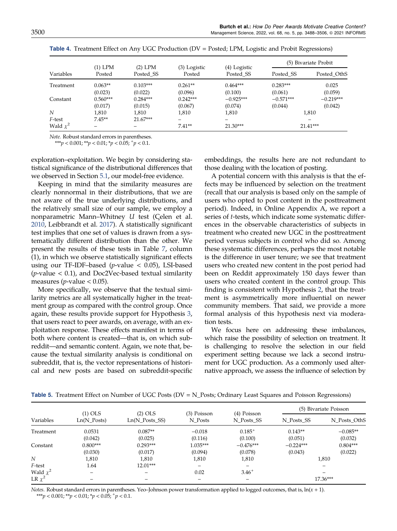|            | $(1)$ LPM  | $(2)$ LPM  |                        |                           | (5) Bivariate Probit |             |
|------------|------------|------------|------------------------|---------------------------|----------------------|-------------|
| Variables  | Posted     | Posted SS  | (3) Logistic<br>Posted | (4) Logistic<br>Posted SS | Posted SS            | Posted OthS |
| Treatment  | $0.063**$  | $0.103***$ | $0.261**$              | $0.464***$                | $0.283***$           | 0.025       |
|            | (0.023)    | (0.022)    | (0.096)                | (0.100)                   | (0.061)              | (0.059)     |
| Constant   | $0.560***$ | $0.284***$ | $0.242***$             | $-0.925***$               | $-0.571***$          | $-0.219***$ |
|            | (0.017)    | (0.015)    | (0.067)                | (0.074)                   | (0.044)              | (0.042)     |
| N          | 1,810      | 1.810      | 1.810                  | 1,810                     | 1,810                |             |
| F-test     | $7.45**$   | 21.67***   | -                      | -                         |                      |             |
| Wald $x^2$ |            |            | $7.41**$               | $21.30***$                |                      | $21.41***$  |

<span id="page-12-0"></span>

| Table 4. Treatment Effect on Any UGC Production (DV = Posted; LPM, Logistic and Probit Regressions) |  |  |
|-----------------------------------------------------------------------------------------------------|--|--|
|-----------------------------------------------------------------------------------------------------|--|--|

Note. Robust standard errors in parentheses.

\*\*\*p < 0.001; \*\*p < 0.01; \*p < 0.05;  $^+p$  < 0.1.

exploration–exploitation. We begin by considering statistical significance of the distributional differences that we observed in Section [5.1](#page-8-0), our model-free evidence.

Keeping in mind that the similarity measures are clearly nonnormal in their distributions, that we are not aware of the true underlying distributions, and the relatively small size of our sample, we employ a nonparametric Mann–Whitney  $U$  test (Çelen et al. [2010,](#page-17-0) Leibbrandt et al. [2017\)](#page-18-0). A statistically significant test implies that one set of values is drawn from a systematically different distribution than the other. We present the results of these tests in Table [7,](#page-13-0) column (1), in which we observe statistically significant effects using our TF-IDF-based ( $p$ -value < 0.05), LSI-based  $(p$ -value  $< 0.1$ ), and Doc2Vec-based textual similarity measures ( $p$ -value < 0.05).

More specifically, we observe that the textual similarity metrics are all systematically higher in the treatment group as compared with the control group. Once again, these results provide support for Hypothesis [3,](#page-4-0) that users react to peer awards, on average, with an exploitation response. These effects manifest in terms of both where content is created—that is, on which subreddit—and semantic content. Again, we note that, because the textual similarity analysis is conditional on subreddit, that is, the vector representations of historical and new posts are based on subreddit-specific embeddings, the results here are not redundant to those dealing with the location of posting.

A potential concern with this analysis is that the effects may be influenced by selection on the treatment (recall that our analysis is based only on the sample of users who opted to post content in the posttreatment period). Indeed, in Online Appendix A, we report a series of t-tests, which indicate some systematic differences in the observable characteristics of subjects in treatment who created new UGC in the posttreatment period versus subjects in control who did so. Among these systematic differences, perhaps the most notable is the difference in user tenure; we see that treatment users who created new content in the post period had been on Reddit approximately 150 days fewer than users who created content in the control group. This finding is consistent with Hypothesis [2,](#page-3-0) that the treatment is asymmetrically more influential on newer community members. That said, we provide a more formal analysis of this hypothesis next via moderation tests.

We focus here on addressing these imbalances, which raise the possibility of selection on treatment. It is challenging to resolve the selection in our field experiment setting because we lack a second instrument for UGC production. As a commonly used alternative approach, we assess the influence of selection by

|             | $(1)$ OLS     | $(2)$ OLS              | (3) Poisson | (4) Poisson              | (5) Bivariate Poisson |                          |
|-------------|---------------|------------------------|-------------|--------------------------|-----------------------|--------------------------|
| Variables   | $Ln(N_Posts)$ | $Ln(N \; Posts \; SS)$ | N Posts     | N Posts SS               | N Posts SS            | N Posts OthS             |
| Treatment   | 0.0531        | $0.087**$              | $-0.018$    | $0.185^{+}$              | $0.143**$             | $-0.085**$               |
|             | (0.042)       | (0.025)                | (0.116)     | (0.100)                  | (0.051)               | (0.032)                  |
| Constant    | $0.800***$    | $0.293***$             | $1.035***$  | $-0.476***$              | $-0.224***$           | $0.804***$               |
|             | (0.030)       | (0.017)                | (0.094)     | (0.078)                  | (0.043)               | (0.022)                  |
| N           | 1,810         | 1.810                  | 1,810       | 1,810                    |                       | 1,810                    |
| F-test      | 1.64          | $12.01***$             |             | $\overline{\phantom{m}}$ |                       |                          |
| Wald $x^2$  | -             |                        | 0.02        | $3.46^{+}$               |                       | $\overline{\phantom{0}}$ |
| LR $\chi^2$ |               |                        |             |                          |                       | 17.36***                 |

Table 5. Treatment Effect on Number of UGC Posts ( $DV = N_P$ osts; Ordinary Least Squares and Poisson Regressions)

Notes. Robust standard errors in parentheses. Yeo-Johnson power transformation applied to logged outcomes, that is,  $\ln(x + 1)$ . \*\*\*p < 0.001; \*\*p < 0.01; \*p < 0.05;  $^+p$  < 0.1.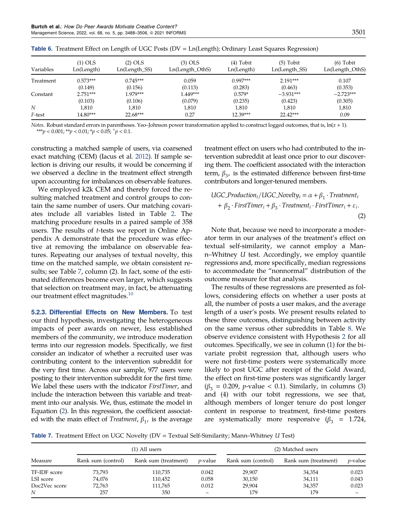| Variables | $(1)$ OLS<br>Ln(Length) | $(2)$ OLS<br>Ln(Length_SS) | $(3)$ OLS<br>Ln(Length_OthS) | $(4)$ Tobit<br>Ln(Length) | $(5)$ Tobit<br>$Ln(Length_SS)$ | $(6)$ Tobit<br>Ln(Length_OthS) |
|-----------|-------------------------|----------------------------|------------------------------|---------------------------|--------------------------------|--------------------------------|
| Treatment | $0.573***$              | $0.745***$                 | 0.059                        | $0.997***$                | $2.191***$                     | 0.107                          |
|           | (0.149)                 | (0.156)                    | (0.113)                      | (0.283)                   | (0.463)                        | (0.353)                        |
| Constant  | $2.751***$              | 1.979***                   | 1.449***                     | $0.579*$                  | $-3.931***$                    | $-2.723***$                    |
|           | (0.103)                 | (0.106)                    | (0.079)                      | (0.235)                   | (0.423)                        | (0.305)                        |
| N         | 1.810                   | 1.810                      | 1,810                        | 1,810                     | 1.810                          | 1,810                          |
| F-test    | 14.80***                | $22.68***$                 | 0.27                         | 12.39***                  | 22.42***                       | 0.09                           |

<span id="page-13-0"></span>**Table 6.** Treatment Effect on Length of UGC Posts ( $DV = Ln(Length)$ ; Ordinary Least Squares Regression)

Notes. Robust standard errors in parentheses. Yeo-Johnson power transformation applied to construct logged outcomes, that is,  $ln(x + 1)$ . \*\*\*p < 0.001; \*\*p < 0.01; \*p < 0.05;  $^+p$  < 0.1.

constructing a matched sample of users, via coarsened exact matching (CEM) (Iacus et al. [2012\)](#page-18-0). If sample selection is driving our results, it would be concerning if we observed a decline in the treatment effect strength upon accounting for imbalances on observable features.

We employed k2k CEM and thereby forced the resulting matched treatment and control groups to contain the same number of users. Our matching covariates include all variables listed in Table [2](#page-6-0). The matching procedure results in a paired sample of 358 users. The results of t-tests we report in Online Appendix A demonstrate that the procedure was effective at removing the imbalance on observable features. Repeating our analyses of textual novelty, this time on the matched sample, we obtain consistent results; see Table 7, column (2). In fact, some of the estimated differences become even larger, which suggests that selection on treatment may, in fact, be attenuating our treatment effect magnitudes.<sup>[10](#page-17-0)</sup>

5.2.3. Differential Effects on New Members. To test our third hypothesis, investigating the heterogeneous impacts of peer awards on newer, less established members of the community, we introduce moderation terms into our regression models. Specifically, we first consider an indicator of whether a recruited user was contributing content to the intervention subreddit for the very first time. Across our sample, 977 users were posting to their intervention subreddit for the first time. We label these users with the indicator *FirstTimer*, and include the interaction between this variable and treatment into our analysis. We, thus, estimate the model in Equation (2). In this regression, the coefficient associated with the main effect of *Treatment*,  $\beta_1$ , is the average treatment effect on users who had contributed to the intervention subreddit at least once prior to our discovering them. The coefficient associated with the interaction term,  $\beta_3$ , is the estimated difference between first-time contributors and longer-tenured members.

UGC\_Production<sub>i</sub>/UGC\_Novelty<sub>i</sub> = 
$$
\alpha + \beta_1 \cdot Treatment_i
$$
  
+  $\beta_2 \cdot FirstTimer_i + \beta_3 \cdot Treatment_i \cdot FirstTimer_i + \varepsilon_i$ . (2)

Note that, because we need to incorporate a moderator term in our analyses of the treatment's effect on textual self-similarity, we cannot employ a Mann–Whitney U test. Accordingly, we employ quantile regressions and, more specifically, median regressions to accommodate the "nonnormal" distribution of the outcome measure for that analysis.

The results of these regressions are presented as follows, considering effects on whether a user posts at all, the number of posts a user makes, and the average length of a user's posts. We present results related to these three outcomes, distinguishing between activity on the same versus other subreddits in Table [8.](#page-14-0) We observe evidence consistent with Hypothesis [2](#page-3-0) for all outcomes. Specifically, we see in column (1) for the bivariate probit regression that, although users who were not first-time posters were systematically more likely to post UGC after receipt of the Gold Award, the effect on first-time posters was significantly larger  $(\beta_3 = 0.209, p\text{-value} < 0.1)$ . Similarly, in columns (3) and (4) with our tobit regressions, we see that, although members of longer tenure do post longer content in response to treatment, first-time posters are systematically more responsive ( $\beta_3$  = 1.724,

Table 7. Treatment Effect on UGC Novelty ( $DV = Textual Self-Similarity; Mann-Whitney U Test$ )

|               |                    | (1) All users        | (2) Matched users |                    |                      |                 |
|---------------|--------------------|----------------------|-------------------|--------------------|----------------------|-----------------|
| Measure       | Rank sum (control) | Rank sum (treatment) | <i>p</i> -value   | Rank sum (control) | Rank sum (treatment) | <i>p</i> -value |
| TF-IDF score  | 73,793             | 110.735              | 0.042             | 29.907             | 34,354               | 0.023           |
| LSI score     | 74,076             | 110,452              | 0.058             | 30,150             | 34,111               | 0.043           |
| Doc2Vec score | 72,763             | 111.765              | 0.012             | 29,904             | 34,357               | 0.023           |
| N             | 257                | 350                  | -                 | 179                | 179                  |                 |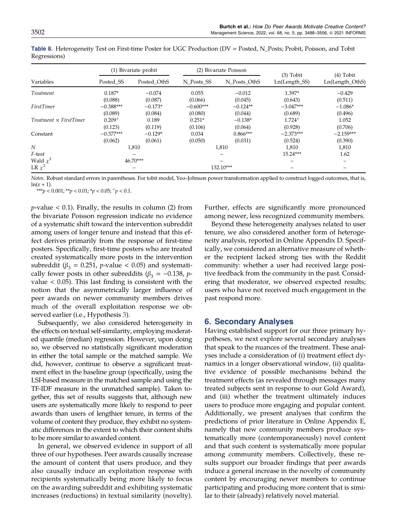|                               | (1) Bivariate probit |             | (2) Bivariate Poisson |              | $(3)$ Tobit          | $(4)$ Tobit     |
|-------------------------------|----------------------|-------------|-----------------------|--------------|----------------------|-----------------|
| Variables                     | Posted_SS            | Posted OthS | N Posts SS            | N Posts OthS | Ln(Length_SS)        | Ln(Length_OthS) |
| Treatment                     | $0.187*$             | $-0.074$    | 0.055                 | $-0.012$     | 1.397*               | $-0.429$        |
|                               | (0.088)              | (0.087)     | (0.066)               | (0.045)      | (0.643)              | (0.511)         |
| FirstTimer                    | $-0.388***$          | $-0.173*$   | $-0.600***$           | $-0.124**$   | $-3.047***$          | $-1.086*$       |
|                               | (0.089)              | (0.084)     | (0.080)               | (0.044)      | (0.689)              | (0.496)         |
| $Treatment \times FirstTimer$ | $0.209^{+}$          | 0.189       | $0.251*$              | $-0.138*$    | $1.724$ <sup>+</sup> | 1.052           |
|                               | (0.123)              | (0.119)     | (0.106)               | (0.064)      | (0.928)              | (0.706)         |
| Constant                      | $-0.377***$          | $-0.129*$   | 0.034                 | $0.866***$   | $-2.373***$          | $-2.159***$     |
|                               | (0.062)              | (0.061)     | (0.050)               | (0.031)      | (0.524)              | (0.390)         |
| N                             |                      | 1,810       |                       | 1,810        | 1,810                | 1,810           |
| F-test                        |                      |             |                       | -            | $15.24***$           | 1.62            |
| Wald $\chi^2$                 |                      | $46.70***$  |                       |              |                      |                 |
| LR $\chi^2$                   |                      |             |                       | 132.10***    |                      |                 |

<span id="page-14-0"></span>Table 8. Heterogeneity Test on First-time Poster for UGC Production (DV = Posted, N\_Posts; Probit, Poisson, and Tobit Regressions)

Notes. Robust standard errors in parentheses. For tobit model, Yeo–Johnson power transformation applied to construct logged outcomes, that is,  $ln(x+1)$ .

\*\*\*p < 0.001; \*\*p < 0.01; \*p < 0.05;  $^+p$  < 0.1.

 $p$ -value  $< 0.1$ ). Finally, the results in column (2) from the bivariate Poisson regression indicate no evidence of a systematic shift toward the intervention subreddit among users of longer tenure and instead that this effect derives primarily from the response of first-time posters. Specifically, first-time posters who are treated created systematically more posts in the intervention subreddit ( $\beta_3 = 0.251$ , *p*-value < 0.05) and systematically fewer posts in other subreddits  $(\beta_3 = -0.138, p$ value  $< 0.05$ ). This last finding is consistent with the notion that the asymmetrically larger influence of peer awards on newer community members drives much of the overall exploitation response we observed earlier (i.e., Hypothesis [3\)](#page-4-0).

Subsequently, we also considered heterogeneity in the effects on textual self-similarity, employing moderated quantile (median) regression. However, upon doing so, we observed no statistically significant moderation in either the total sample or the matched sample. We did, however, continue to observe a significant treatment effect in the baseline group (specifically, using the LSI-based measure in the matched sample and using the TF-IDF measure in the unmatched sample). Taken together, this set of results suggests that, although new users are systematically more likely to respond to peer awards than users of lengthier tenure, in terms of the volume of content they produce, they exhibit no systematic differences in the extent to which their content shifts to be more similar to awarded content.

In general, we observed evidence in support of all three of our hypotheses. Peer awards causally increase the amount of content that users produce, and they also causally induce an exploitation response with recipients systematically being more likely to focus on the awarding subreddit and exhibiting systematic increases (reductions) in textual similarity (novelty). Further, effects are significantly more pronounced among newer, less recognized community members.

Beyond these heterogeneity analyses related to user tenure, we also considered another form of heterogeneity analysis, reported in Online Appendix D. Specifically, we considered an alternative measure of whether the recipient lacked strong ties with the Reddit community: whether a user had received large positive feedback from the community in the past. Considering that moderator, we observed expected results; users who have not received much engagement in the past respond more.

# 6. Secondary Analyses

Having established support for our three primary hypotheses, we next explore several secondary analyses that speak to the nuances of the treatment. These analyses include a consideration of (i) treatment effect dynamics in a longer observational window, (ii) qualitative evidence of possible mechanisms behind the treatment effects (as revealed through messages many treated subjects sent in response to our Gold Award), and (iii) whether the treatment ultimately induces users to produce more engaging and popular content. Additionally, we present analyses that confirm the predictions of prior literature in Online Appendix E, namely that new community members produce systematically more (contemporaneously) novel content and that such content is systematically more popular among community members. Collectively, these results support our broader findings that peer awards induce a general increase in the novelty of community content by encouraging newer members to continue participating and producing more content that is similar to their (already) relatively novel material.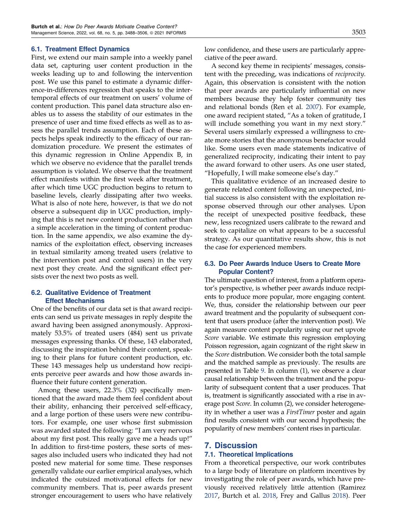### 6.1. Treatment Effect Dynamics

First, we extend our main sample into a weekly panel data set, capturing user content production in the weeks leading up to and following the intervention post. We use this panel to estimate a dynamic difference-in-differences regression that speaks to the intertemporal effects of our treatment on users' volume of content production. This panel data structure also enables us to assess the stability of our estimates in the presence of user and time fixed effects as well as to assess the parallel trends assumption. Each of these aspects helps speak indirectly to the efficacy of our randomization procedure. We present the estimates of this dynamic regression in Online Appendix B, in which we observe no evidence that the parallel trends assumption is violated. We observe that the treatment effect manifests within the first week after treatment, after which time UGC production begins to return to baseline levels, clearly dissipating after two weeks. What is also of note here, however, is that we do not observe a subsequent dip in UGC production, implying that this is net new content production rather than a simple acceleration in the timing of content production. In the same appendix, we also examine the dynamics of the exploitation effect, observing increases in textual similarity among treated users (relative to the intervention post and control users) in the very next post they create. And the significant effect persists over the next two posts as well.

# 6.2. Qualitative Evidence of Treatment Effect Mechanisms

One of the benefits of our data set is that award recipients can send us private messages in reply despite the award having been assigned anonymously. Approximately 53.5% of treated users (484) sent us private messages expressing thanks. Of these, 143 elaborated, discussing the inspiration behind their content, speaking to their plans for future content production, etc. These 143 messages help us understand how recipients perceive peer awards and how those awards influence their future content generation.

Among these users, 22.3% (32) specifically mentioned that the award made them feel confident about their ability, enhancing their perceived self-efficacy, and a large portion of these users were new contributors. For example, one user whose first submission was awarded stated the following: "I am very nervous about my first post. This really gave me a heads up!" In addition to first-time posters, these sorts of messages also included users who indicated they had not posted new material for some time. These responses generally validate our earlier empirical analyses, which indicated the outsized motivational effects for new community members. That is, peer awards present stronger encouragement to users who have relatively low confidence, and these users are particularly appreciative of the peer award.

A second key theme in recipients' messages, consistent with the preceding, was indications of reciprocity. Again, this observation is consistent with the notion that peer awards are particularly influential on new members because they help foster community ties and relational bonds (Ren et al. [2007](#page-18-0)). For example, one award recipient stated, "As a token of gratitude, I will include something you want in my next story." Several users similarly expressed a willingness to create more stories that the anonymous benefactor would like. Some users even made statements indicative of generalized reciprocity, indicating their intent to pay the award forward to other users. As one user stated, "Hopefully, I will make someone else's day."

This qualitative evidence of an increased desire to generate related content following an unexpected, initial success is also consistent with the exploitation response observed through our other analyses. Upon the receipt of unexpected positive feedback, these new, less recognized users calibrate to the reward and seek to capitalize on what appears to be a successful strategy. As our quantitative results show, this is not the case for experienced members.

# 6.3. Do Peer Awards Induce Users to Create More Popular Content?

The ultimate question of interest, from a platform operator's perspective, is whether peer awards induce recipients to produce more popular, more engaging content. We, thus, consider the relationship between our peer award treatment and the popularity of subsequent content that users produce (after the intervention post). We again measure content popularity using our net upvote Score variable. We estimate this regression employing Poisson regression, again cognizant of the right skew in the Score distribution. We consider both the total sample and the matched sample as previously. The results are presented in Table [9](#page-16-0). In column (1), we observe a clear causal relationship between the treatment and the popularity of subsequent content that a user produces. That is, treatment is significantly associated with a rise in average post Score. In column (2), we consider heterogeneity in whether a user was a FirstTimer poster and again find results consistent with our second hypothesis; the popularity of new members' content rises in particular.

# 7. Discussion

# 7.1. Theoretical Implications

From a theoretical perspective, our work contributes to a large body of literature on platform incentives by investigating the role of peer awards, which have previously received relatively little attention (Ramirez [2017](#page-18-0), Burtch et al. [2018,](#page-17-0) Frey and Gallus [2018\)](#page-17-0). Peer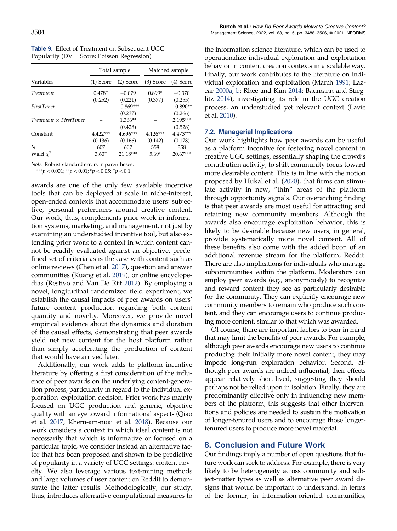|                               |             | Total sample | Matched sample |            |  |
|-------------------------------|-------------|--------------|----------------|------------|--|
| Variables                     | $(1)$ Score | $(2)$ Score  | $(3)$ Score    | (4) Score  |  |
| Treatment                     | $0.478^{+}$ | $-0.079$     | $0.899*$       | $-0.370$   |  |
|                               | (0.252)     | (0.221)      | (0.377)        | (0.255)    |  |
| <b>FirstTimer</b>             |             | $-0.869***$  |                | $-0.890**$ |  |
|                               |             | (0.237)      |                | (0.266)    |  |
| $Treatment \times FirstTimer$ |             | $1.366**$    |                | $2.195***$ |  |
|                               |             | (0.428)      |                | (0.528)    |  |
| Constant                      | 4.422***    | 4.696***     | $4.126***$     | $4.473***$ |  |
|                               | (0.136)     | (0.166)      | (0.142)        | (0.178)    |  |
| N                             | 607         | 607          | 358            | 358        |  |
| Wald $x^2$                    | $3.60^{+}$  | 21.18***     | $5.69*$        | $20.67***$ |  |

<span id="page-16-0"></span>Table 9. Effect of Treatment on Subsequent UGC Popularity (DV = Score; Poisson Regression)

Note. Robust standard errors in parentheses. \*\*\*p <  $0.001$ ; \*\*p <  $0.01$ ; \*p <  $0.05$ ;  $p$  <  $0.1$ .

awards are one of the only few available incentive tools that can be deployed at scale in niche-interest, open-ended contexts that accommodate users' subjective, personal preferences around creative content. Our work, thus, complements prior work in information systems, marketing, and management, not just by examining an understudied incentive tool, but also extending prior work to a context in which content cannot be readily evaluated against an objective, predefined set of criteria as is the case with content such as online reviews (Chen et al. [2017](#page-17-0)), question and answer communities (Kuang et al. [2019](#page-18-0)), or online encyclopedias (Restivo and Van De Rijt [2012](#page-18-0)). By employing a novel, longitudinal randomized field experiment, we establish the causal impacts of peer awards on users' future content production regarding both content quantity and novelty. Moreover, we provide novel empirical evidence about the dynamics and duration of the causal effects, demonstrating that peer awards yield net new content for the host platform rather than simply accelerating the production of content that would have arrived later.

Additionally, our work adds to platform incentive literature by offering a first consideration of the influence of peer awards on the underlying content-generation process, particularly in regard to the individual exploration–exploitation decision. Prior work has mainly focused on UGC production and generic, objective quality with an eye toward informational aspects (Qiao et al. [2017](#page-18-0), Khern-am-nuai et al. [2018](#page-18-0)). Because our work considers a context in which ideal content is not necessarily that which is informative or focused on a particular topic, we consider instead an alternative factor that has been proposed and shown to be predictive of popularity in a variety of UGC settings: content novelty. We also leverage various text-mining methods and large volumes of user content on Reddit to demonstrate the latter results. Methodologically, our study, thus, introduces alternative computational measures to the information science literature, which can be used to operationalize individual exploration and exploitation behavior in content creation contexts in a scalable way. Finally, our work contributes to the literature on individual exploration and exploitation (March [1991](#page-18-0); Lazear [2000a](#page-18-0), [b](#page-18-0); Rhee and Kim [2014;](#page-18-0) Baumann and Stieglitz [2014](#page-17-0)), investigating its role in the UGC creation process, an understudied yet relevant context (Lavie et al. [2010](#page-18-0)).

# 7.2. Managerial Implications

Our work highlights how peer awards can be useful as a platform incentive for fostering novel content in creative UGC settings, essentially shaping the crowd's contribution activity, to shift community focus toward more desirable content. This is in line with the notion proposed by Hukal et al. [\(2020\)](#page-18-0), that firms can stimulate activity in new, "thin" areas of the platform through opportunity signals. Our overarching finding is that peer awards are most useful for attracting and retaining new community members. Although the awards also encourage exploitation behavior, this is likely to be desirable because new users, in general, provide systematically more novel content. All of these benefits also come with the added boon of an additional revenue stream for the platform, Reddit. There are also implications for individuals who manage subcommunities within the platform. Moderators can employ peer awards (e.g., anonymously) to recognize and reward content they see as particularly desirable for the community. They can explicitly encourage new community members to remain who produce such content, and they can encourage users to continue producing more content, similar to that which was awarded.

Of course, there are important factors to bear in mind that may limit the benefits of peer awards. For example, although peer awards encourage new users to continue producing their initially more novel content, they may impede long-run exploration behavior. Second, although peer awards are indeed influential, their effects appear relatively short-lived, suggesting they should perhaps not be relied upon in isolation. Finally, they are predominantly effective only in influencing new members of the platform; this suggests that other interventions and policies are needed to sustain the motivation of longer-tenured users and to encourage those longertenured users to produce more novel material.

# 8. Conclusion and Future Work

Our findings imply a number of open questions that future work can seek to address. For example, there is very likely to be heterogeneity across community and subject-matter types as well as alternative peer award designs that would be important to understand. In terms of the former, in information-oriented communities,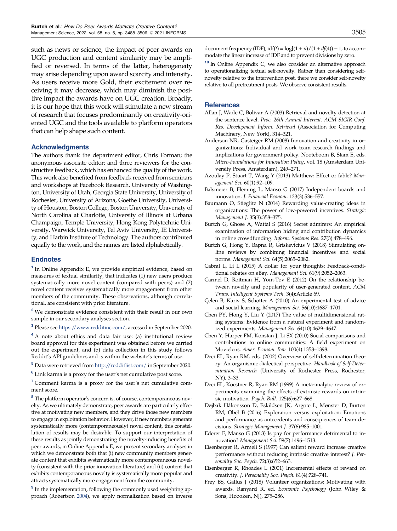<span id="page-17-0"></span>such as news or science, the impact of peer awards on UGC production and content similarity may be amplified or reversed. In terms of the latter, heterogeneity may arise depending upon award scarcity and intensity. As users receive more Gold, their excitement over receiving it may decrease, which may diminish the positive impact the awards have on UGC creation. Broadly, it is our hope that this work will stimulate a new stream of research that focuses predominantly on creativity-oriented UGC and the tools available to platform operators that can help shape such content.

### **Acknowledgments**

The authors thank the department editor, Chris Forman; the anonymous associate editor; and three reviewers for the constructive feedback, which has enhanced the quality of the work. This work also benefited from feedback received from seminars and workshops at Facebook Research, University of Washington, University of Utah, Georgia State University, University of Rochester, University of Arizona, Goethe University, University of Houston, Boston College, Boston University, University of North Carolina at Charlotte, University of Illinois at Urbana Champaign, Temple University, Hong Kong Polytechnic University, Warwick University, Tel Aviv University, IE University, and Harbin Institute of Technology. The authors contributed equally to the work, and the names are listed alphabetically.

### **Endnotes**

<sup>1</sup> In Online Appendix E, we provide empirical evidence, based on measures of textual similarity, that indicates (1) new users produce systematically more novel content (compared with peers) and (2) novel content receives systematically more engagement from other members of the community. These observations, although correlational, are consistent with prior literature.

<sup>2</sup> We demonstrate evidence consistent with their result in our own sample in our secondary analyses section.

<sup>3</sup> Please see [https://www.redditinc.com/,](https://www.redditinc.com/) accessed in September 2020.

<sup>4</sup> A note about ethics and data fair use: (a) institutional review board approval for this experiment was obtained before we carried out the experiment, and (b) data collection in this study follows Reddit's API guidelines and is within the website's terms of use.

<sup>5</sup> Data were retrieved from <http://redditlist.com/> in September 2020.

<sup>6</sup> Link karma is a proxy for the user's net cumulative post score.

<sup>7</sup> Comment karma is a proxy for the user's net cumulative comment score.

<sup>8</sup> The platform operator's concern is, of course, contemporaneous novelty. As we ultimately demonstrate, peer awards are particularly effective at motivating new members, and they drive those new members to engage in exploitation behavior. However, if new members generate systematically more (contemporaneously) novel content, this constellation of results may be desirable. To support our interpretation of these results as jointly demonstrating the novelty-inducing benefits of peer awards, in Online Appendix E, we present secondary analyses in which we demonstrate both that (i) new community members generate content that exhibits systematically more contemporaneous novelty (consistent with the prior innovation literature) and (ii) content that exhibits contemporaneous novelty is systematically more popular and attracts systematically more engagement from the community.

<sup>9</sup> In the implementation, following the commonly used weighting approach (Robertson [2004\)](#page-18-0), we apply normalization based on inverse document frequency (IDF),  $\text{idf}(t) = \log[(1 + n)/(1 + df(4)) + 1]$ , to accommodate the linear increase of IDF and to prevent divisions by zero.

<sup>10</sup> In Online Appendix C, we also consider an alternative approach to operationalizing textual self-novelty. Rather than considering selfnovelty relative to the intervention post, there we consider self-novelty relative to all pretreatment posts. We observe consistent results.

### **References**

- Allan J, Wade C, Bolivar A (2003) Retrieval and novelty detection at the sentence level. Proc. 26th Annual Internat. ACM SIGIR Conf. Res. Development Inform. Retrieval (Association for Computing Machinery, New York), 314–321.
- Anderson NR, Gasteiger RM (2008) Innovation and creativity in organizations: Individual and work team research findings and implications for government policy. Nooteboom B, Stam E, eds. Micro-Foundations for Innovation Policy, vol. 18 (Amsterdam University Press, Amsterdam), 249–271.
- Azoulay P, Stuart T, Wang Y (2013) Matthew: Effect or fable? Management Sci. 60(1):92–109.
- Balsmeier B, Fleming L, Manso G (2017) Independent boards and innovation. J. Financial Econom. 123(3):536–557.
- Baumann O, Stieglitz N (2014) Rewarding value-creating ideas in organizations: The power of low-powered incentives. Strategic Management J. 35(3):358–375.
- Burtch G, Ghose A, Wattal S (2016) Secret admirers: An empirical examination of information hiding and contribution dynamics in online crowdfunding. Inform. Systems Res. 27(3):478–496.
- Burtch G, Hong Y, Bapna R, Griskevicius V (2018) Stimulating online reviews by combining financial incentives and social norms. Management Sci. 64(5):2065–2082.
- Cabral L, Li L (2015) A dollar for your thoughts: Feedback-conditional rebates on eBay. Management Sci. 61(9):2052–2063.
- Carmel D, Roitman H, Yom-Tov E (2012) On the relationship between novelty and popularity of user-generated content. ACM Trans. Intelligent Systems Tech. 3(4):Article 69.
- C¸elen B, Kariv S, Schotter A (2010) An experimental test of advice and social learning. Management Sci. 56(10):1687–1701.
- Chen PY, Hong Y, Liu Y (2017) The value of multidimensional rating systems: Evidence from a natural experiment and randomized experiments. Management Sci. 64(10):4629–4647.
- Chen Y, Harper FM, Konstan J, Li SX (2010) Social comparisons and contributions to online communities: A field experiment on Movielens. Amer. Econom. Rev. 100(4):1358–1398.
- Deci EL, Ryan RM, eds. (2002) Overview of self-determination theory: An organismic dialectical perspective. Handbook of Self-Determination Research (University of Rochester Press, Rochester, NY), 3–33.
- Deci EL, Koestner R, Ryan RM (1999) A meta-analytic review of experiments examining the effects of extrinsic rewards on intrinsic motivation. Psych. Bull. 125(6):627–668.
- Døjbak Håkonsson D, Eskildsen JK, Argote L, Mønster D, Burton RM, Obel B (2016) Exploration versus exploitation: Emotions and performance as antecedents and consequences of team decisions. Strategic Management J. 37(6):985–1001.
- Ederer F, Manso G (2013) Is pay for performance detrimental to innovation? Management Sci. 59(7):1496–1513.
- Eisenberger R, Armeli S (1997) Can salient reward increase creative performance without reducing intrinsic creative interest? J. Personality Soc. Psych. 72(3):652–663.
- Eisenberger R, Rhoades L (2001) Incremental effects of reward on creativity. J. Personality Soc. Psych. 81(4):728–741.
- Frey BS, Gallus J (2018) Volunteer organizations: Motivating with awards. Ranyard R, ed. Economic Psychology (John Wiley & Sons, Hoboken, NJ), 275–286.